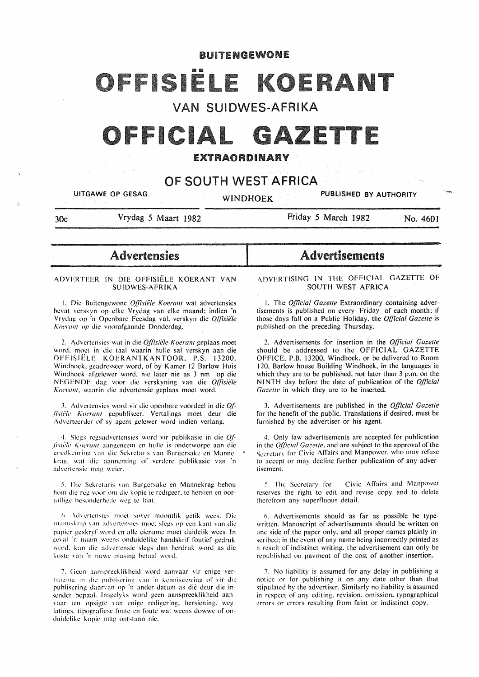# BUITENGEWONE

# IS IF

VAN SUIDWES-AFRIKA

# OFFICIAL GAZETTE

# EXTRAORDINARY

# OF SOUTH WEST AFRICA

UITGAWE OP GESAG WINDHOEK PUBLISHED BY AUTHORITY

'f""

30c Vrydag *5* Maart 1982

Friday *5* March 1982 No. 4601

**Advertensies** 

#### ADVERTEER IN DIE OFFISIELE KOERANT VAN SUIDWES-AFRIKA

1. Die Buitengewone *Offisiële Koerant* wat advertensies bevat verskyn op clke Vrydag van elke maand: indien ·n Vrydag op 'n Openbare Feesdag val. verskyn die *Offisiële 1\ oerant op* die voorafgaande Donderdag.

2. Advertensies wat in die *Offisiële Koerant* geplaas moet word. moet in die taal waarin hulle sal verskyn aan die OFFISIELE KOERANTKANTOOR. P.S. 13200. Windhoek. geadresseer word. of by Kamer 12 Barlow Huis Windhoek afgekwer word. nie later nic as 3 nm op die NEGENDE dag voor die verskyning van die *Offisiële A"oerant.* waarin die advertensie gcplaas moct word.

3. Advertensies word vir die openbare voordeel in die *Of-!ish·;tc 1\oera/11* gepubliseer. Vcrtalings moet deur die Adverteerder of sy agent gelewer word indien verlang.

4. Slegs regsadvertensies word vir publikasic in die *O.f lisiële Koerant* aangeneem en hulle is onderworpe aan die goedkeuring van die Sekretaris van Burgersake en Mannekrag, wat die aanneming of verdere publikasie van 'n advertensie mag weier.

5. Die Sekretaris van Burgersake en Mannekrag behou hom die reg voor om die kopie te redigeer, te hersien en oortollige besonderhede weg te laat.

6. Advertensies moet sover moontlik getik wees. Die manuskrip van advertensies moet slegs op een kant van die papier geskryf word en alle eiename moet duidelik wees. In geval 'n naam weens onduidelike handskrif foutief gedruk word. kan die advertensie slegs dan herdruk word as die koste van 'n nuwe plasing betaal word.

7. Geen aanspreeklikheid word aanvaar vir enige vertraging in die publisering van 'n kennisgewing of vir die publisering daarvan op 'n ander datum as die deur die insender bepaal. lnsgelyks word gccn aanspreeklikheid aanvaar ten opsigte van enige redigering, hersiening, weglatings, tipografiese foute en foute wat weens dowwe of onduidclikc kopie mag ontstaan nie.

# Advertisements

ADVERTISING IN THE OFFICIAL GAZETTE OF SOUTH WEST AFRICA

1. The *Official Gazette* Extraordinary containing advertisements is published on every Friday of each month: if those days fall on a Public Holiday. the *0./ficia/ Gazelle* is published on the preceding Thursday.

2. Advertisements for insertion in the *O.IJlcial Gazelle*  should be addressed to the OFFICIAL GAZETTE OFFICE. P.B. 13200. Windhoek. or be delivered to Room 120. Barlow house Building Windhoek. in the languages in which they are to be published. not later than 3 p.m. on the NINTH day before the date of publication of the *Official Gazette* in which they are to be inserted.

3. Advertisements are published in the *O.IJlcial Gazelle*  for the benefit of the public. Translations if desired. must be furnished by the advertiser or his agent.

4. Only law advertisements are accepted for publication in the *Q{(icial Gazelle,* and are subject to the approval of the Secretary for Civic Affairs and Manpower, who may refuse to accept or may decline further publication of any advertisement.

5. The Secretary for Civic Affairs and Manpower reserves the right to edit and revise copy and to delete therefrom any superfluous detail.

6. Advertisements should as far as possible be typewritten. Manuscript of advertisements should be written on one side of the paper only. and all proper names plainly inscribed: in the event of any name being incorrectly printed as a result of indistinct writing. the advertisement can only be republished on payment of the cost of another insertion.

7. No liability is assumed for any delay in publishing a notice or for publishing it on any date other than that stipulated by the advertiser. Similarly no liability is assumed in respect of any editing. revision. omission. typographical errors or errors resulting from faint or indistinct copy.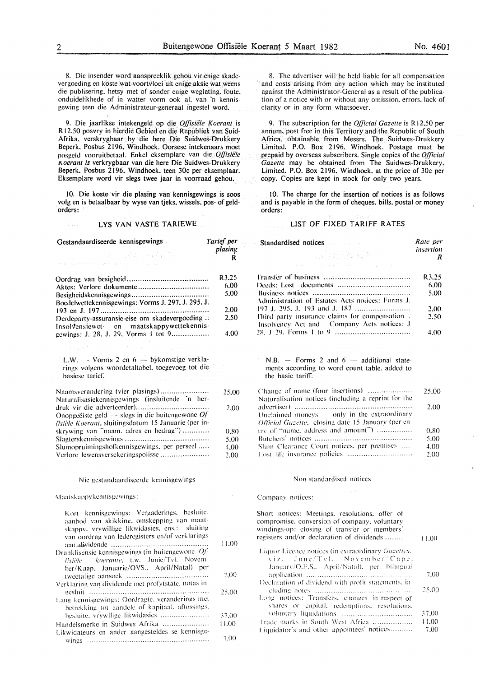8. Die in sender word aanspreeklik gehou vir enige skadevergoeding en koste wat voortvloei uit enige aksie wat weens die publisering. hetsy met of sonder enige weglating. foute. onduidelikhede of in watter vorm ook al. van 'n kennisgewing teen die Administrateur-generaal ingestel word.

9. Die jaarlikse intekengeld op die *Offisiële Koerant* is R 12.50 posvry in hierdie Gebied en die Republiek van Suid-Afrika. verskrygbaar by die here Die Suidwes-Drukkery Beperk. Posbus 2196. Windhoek. Oorsese intekenaars moet posgeld vooruitbetaal. Enkel eksemplare van die *Offisiële 1\oerant is* verkrygbaar van die here Die Suidwes-Drukkery Beperk. Posbus 2196. Windhoek. teen 30c per eksemplaar. Eksemplare word vir slegs twee jaar in voorraad gehou.

10. Die koste vir die plasing van kennisgewings is soos volg en is betaalbaar by wyse van tjeks. wissels. pos- of geldorders.:

#### LYS VAN VASTE TARIEWE

| Gestandaardiseerde kennisgewings                                                                               | Tarief per   |
|----------------------------------------------------------------------------------------------------------------|--------------|
| <b>10 多少的复数形式 / 程序集</b>                                                                                        | plasing<br>R |
| .<br>Personalizado en el este en la case de la sua la casa de la casa de la casa de                            |              |
|                                                                                                                | R3.25        |
|                                                                                                                | 6.00         |
|                                                                                                                | 5.00         |
| Boedelwettekennisgewings: Vorms J. 297, J. 295, J.                                                             |              |
|                                                                                                                | 2.00         |
| Derdeparty-assuransie-eise om skadevergoeding                                                                  | 2.50         |
| Insolvensiewet- en maatskappywettekennis-                                                                      |              |
| gewings: J. 28, J. 29, Vorms 1 tot 9                                                                           | 4.00         |
|                                                                                                                |              |
|                                                                                                                |              |
| L.W. - Vorms 2 en 6 - bykomstige verkla-<br>rings volgens woordetaltabel, toegevoeg tot die<br>basiese tarief. |              |
|                                                                                                                |              |
| Naamsverandering (vier plasings)<br>Naturalisasiekennisgewings (insluitende 'n her-                            | 25.00        |
| Onopgeëiste geld $-$ slegs in die buitengewone Of-<br>fisiële Koerant, sluitingsdatum 15 Januarie (per in-     | 2.00         |
| skrywing van "naam, adres en bedrag")                                                                          |              |
|                                                                                                                | 0.80<br>5.00 |
| Slumopruimingshofkennisgewings, per perseel                                                                    | 4.00         |
| Verlore lewensversekeringspolisse                                                                              | 2.00         |
|                                                                                                                |              |
|                                                                                                                |              |
| Nie gestandaardiseerde kennisgewings                                                                           |              |
| Maatskappykennisgewings:                                                                                       |              |
| Kort kennisgewings: Vergaderings, besluite,<br>aanbod van skikking, omskepping van maat-                       |              |

| aanbod van skikking, omskepping van maat-<br>skappy, vrywillige likwidasies, ens.: sluiting<br>van oordrag van lederegisters en/of verklarings | 11.00 |
|------------------------------------------------------------------------------------------------------------------------------------------------|-------|
|                                                                                                                                                |       |
| Dranklisensie kennisgewings (in buitengewone Of-<br>fisiële koerante, t.w. Junie/Tvl. Novem-                                                   |       |
| ber/Kaap, Januarie/OVS., April/Natal) per                                                                                                      |       |
|                                                                                                                                                | 7.00  |
| Verklaring van dividende met profytstate, notas in                                                                                             |       |
|                                                                                                                                                | 25,00 |
| Lang kennisgewings: Oordragte, veranderings met                                                                                                |       |
| betrekking tot aandele of kapitäal, aftossings,                                                                                                |       |
| besluite, vrywllige likwidasies                                                                                                                | 37.00 |
| Handelsmerke in Suidwes Afrika                                                                                                                 | 11.00 |
| Likwidateurs en ander aangesteldes se kennisge-                                                                                                |       |
|                                                                                                                                                | 7.00  |

8. The advertiser will be held liable for all compensation and costs arising from any action which may be instituted against the Administrator-General as a result of the publication of a notice with or without any omission. errors. lack of clarity or in any form whatsoever.

9. The subscription for the *OIJicial Gazette* is R 12.50 per annum. post free in this Territory and the Republic of South Africa. obtainable from Messrs. The Suidwes-Drukkery Limited. P.O. Box 2196. Windhoek. Postage must be prepaid by overseas subscribers. Single copies of the *OIJicial Gazelle* may be obtained from The Suidwes-Drukkery. Limited. P.O. Box 2196. Windhoek. at the price of 30c per copy. Copies are kept in stock for only two years.

10. The charge for the insertion of notices is as follows and is payable in the form of cheques. bills. postal or money orders:

#### LIST OF FIXED TARIFF RATES

| Standardised notices and standard state of the Standard Standard Standard Standard Standard Standard Standard S                                                                                                                                     | Rate per              |
|-----------------------------------------------------------------------------------------------------------------------------------------------------------------------------------------------------------------------------------------------------|-----------------------|
| ครโดยชาวราง เดิร์<br>the construction of the control of the control of the control of the control of the control of the control of the control of the control of the control of the control of the control of the control of the control of the con | <i>insertion</i><br>R |
|                                                                                                                                                                                                                                                     | R3.25                 |
|                                                                                                                                                                                                                                                     | 6.00                  |
|                                                                                                                                                                                                                                                     | 5.00                  |
| Administration of Estates Acts notices: Forms J.                                                                                                                                                                                                    |                       |
| Third party insurance claims for compensation.                                                                                                                                                                                                      | 2.00<br>2.50          |
| Insolvency Act and Company Acts notices: J                                                                                                                                                                                                          |                       |
|                                                                                                                                                                                                                                                     | 4.00                  |
| ments according to word count table, added to<br>the basic tariff.<br>Change of name (four insertions)                                                                                                                                              | 25.00                 |
| Naturalisation notices (including a reprint for the                                                                                                                                                                                                 |                       |
| Unclaimed moneys $-$ only in the extraordinary<br>Official Gazette, closing date 15 January (per en-                                                                                                                                                | 2.00                  |
| try of "name, address and amount")                                                                                                                                                                                                                  | 0.80                  |
|                                                                                                                                                                                                                                                     | 5.00                  |
| Slum Clearance Court notices, per premises                                                                                                                                                                                                          | 4.00                  |
|                                                                                                                                                                                                                                                     | 2.00                  |
| Non-standardised notices                                                                                                                                                                                                                            |                       |
| Company notices:                                                                                                                                                                                                                                    |                       |
| Short notices: Meetings, resolutions, offer of                                                                                                                                                                                                      |                       |

| windings-up: closing of transfer or members'<br>registers and/or declaration of dividends      | 11.00 |
|------------------------------------------------------------------------------------------------|-------|
| Liquor Licence notices (in extraordinary Gazettes,<br>viz. June/Tyl. November/Cape.            |       |
| January/O.F.S., April/Natal), per bilingual                                                    |       |
|                                                                                                | 7.00  |
| Declaration of dividend with profit statements, in                                             |       |
|                                                                                                | 25.00 |
| Long notices: Transfers, changes in respect of<br>shares or capital, redemptions, resolutions, |       |
|                                                                                                | 37.00 |
| Frade marks in South West Africa                                                               | 11.00 |
| Liquidator's and other appointees' notices                                                     | 7.00  |

compromise. conversion of company. voluntary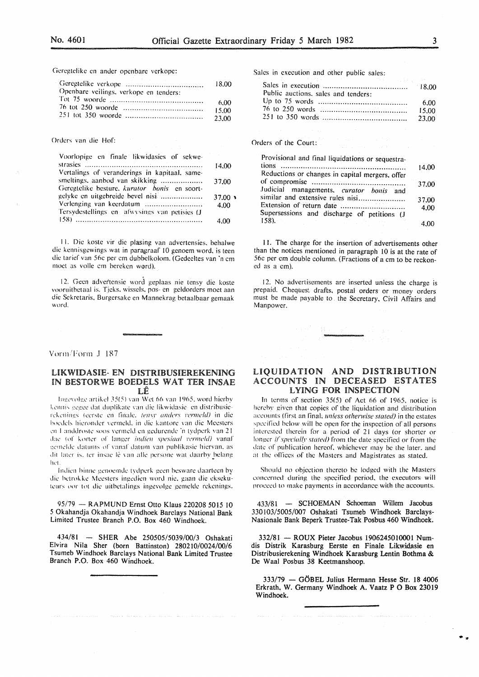Geregtelike en ander openbare verkope:

| and the state of the state of the      | 18.00 |
|----------------------------------------|-------|
| Openbare veilings, verkope en tenders: |       |
|                                        | 6.00. |
|                                        | 15.00 |
|                                        | 23.00 |

Orders van die Hof:

| Voorlopige en finale likwidasies of sekwe-    |                |
|-----------------------------------------------|----------------|
|                                               | 14.00          |
| Vertalings of veranderings in kapitaal, same- |                |
| smeltings, aanbod van skikking                | 37.00          |
| Geregtelike besture, kurator bonis en soort-  |                |
| gelyke en uitgebreide bevel nisi              | $37.00 \times$ |
|                                               | 4.00           |
| Tersydestellings en afwysings van petisies (J |                |
|                                               | 4.00           |

II. Die koste vir die plasing van advertensies, behalwe die kennisgewings wat in paragraaf 10 genoem word, is teen die tarief van 56c per em dubbelkolom. (Gedeeltes van 'n em moet as volle cm bereken word).

12. Geen advertensie word geplaas nie tensy die koste vooruithetaal is. Tieks, wissels, pos- en geldorders moet aan die Sckretaris. Burgersake en Mannekrag betaalbaar gemaak word.

Vorm/Form J 187

#### LIKWIDASIE- EN DISTRIBUSIEREKENING IN BESTORWE BOEDELS WAT TER INSAE LE

lngevolge artikel 35(5) van Wet 66 van 1965, word hierby kennis gegee dat duplikate van die likwidasie- en distribusierekenings (eerste en finale, tensy anders vermeld) in die boedels hieronder vermeld, in die kantore van die Meesters en Landdroste soos vermeld en gedurende 'n tydperk van 21 dac<sup>-</sup> (of korter of langer *indien spesiaal rermeld)* vanaf eemelde datums of vanaf datum van publikasie hiervan, as dit later is, ter insac le van alle persone wat daarby belang  $\mathbf{h}$  et .  $\mathbf{v}$ 

Indien hinne genoemde tvdperk geen besware daarteen by die betrokke Meesters ingedien word nie, gaan die eksekuteurs oor tot die uitbetalings ingevolge gemelde rekenings.

95/79 - RAPMUND Ernst Otto Klaus 220208 5015 10 5 Okahandja Okahandja Windhoek Barclays National Bank Limited Trustee Branch P.O. Box 460 Windhoek.

434/81 - SHER Abe 250505/5039/00/3 Oshakati Elvira Nila Sher (born Battinston) 280210/0024/00/6 Tsumeb Windhoek Barclays National Bank Limited Trustee Branch P.O. Box 460 Windhoek.

Sales in execution and other public sales:

| 그 사람들은 그 사람들은 아이들이 아니라 아이들이 아니라 아이들이 아니라 아이들이 아니라 아이들이 아니라 아이들이 아니라 아이들이 아니라 아이들이 아니라 아이들이 아니라 아이들이 아니라 아이들이 아니라 |
|------------------------------------------------------------------------------------------------------------------|
|                                                                                                                  |
|                                                                                                                  |
| -6.00                                                                                                            |
| 15.00                                                                                                            |
| -23.00                                                                                                           |
|                                                                                                                  |

#### Orders of the Court:

| Provisional and final liquidations or sequestra- |       |
|--------------------------------------------------|-------|
| tions                                            | 14.00 |
| Reductions or changes in capital mergers, offer  |       |
|                                                  | 37.00 |
| Judicial managements, curator bonis and          |       |
| similar and extensive rules nisi                 | 37.00 |
|                                                  | 4.00  |
| Supersessions and discharge of petitions (J      |       |
| $158$ ).                                         |       |

l I. The charge for the insertion of advertisements other than the notices mentioned in paragraph 10 is at the rate of 56c per em double column. (Fractions of a em to be reckoned as a em).

12. No advertisements are inserted unless the charge is prepaid. Cheques; drafts. postal orders or money orders must be made payable to the Secretary. Civil Affairs and Manpower.

# LIQUIDATION AND DISTRIBUTION ACCOUNTS IN DECEASED ESTATES LYING FOR INSPECTION

In terms of section  $35(5)$  of Act 66 of 1965, notice is hereby given that copies of the liquidation and distribution accounts (first an final, *unless otherwise stated)* in the estates specified below will be open for the inspection of all persons interested therein for a period of 21 days (or shorter or longer if specially stated) from the date specified or from the date of publication hereof. whichever may be the later. and at the olTiccs of the Masters and Magistrates as stated.

Should no objection thereto he lodged with the Masters concerned during the specified period, the executors will proceed to make payments in accordance with the accounts.

433/81 - SCHOEMAN Schoeman Willem Jacobus 330103/5005/007 Oshakati Tsumeb Windhoek Barclays-Nasionale Bank Beperk Trustee-Tak Posbus 460 Windhoek.

332/81 - ROUX Pieter Jacobus 1906245010001 Numdis Distrik Karasburg Eerste en Finale Likwidasie en Distribusierekening Windhoek Karasburg Lentin Bothma & De Waal Posbus 38 Keetmanshoop.

 $333/79$  - GÖBEL Julius Hermann Hesse Str. 18 4006 Erkrath, W. Germany Windhoek A. Vaatz P 0 Box 23019 Windhoek.

. .•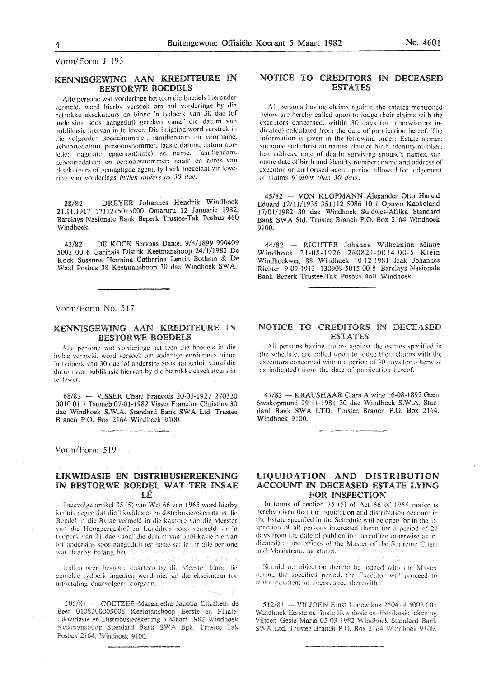Vorm/Form J 193

# KENNISGEWING AAN KREDITEURE IN BESTORWE BOEDELS

Alle persone wat vorderinge het teen die boedels hieronder vermeld, word hierby versoek om hul vorderinge by die betrokkc eksckuteurs en binnc 'n tydperk van 30 dae (of andcrsins soos aangedui) gereken vanaf die datum van publikasic hicrvan in.tc lcwer. Die inligting word verstrek in die volgordc: Bocdclnommcr. familicnaam en voorname. gcboortcdatum. persoonsnommer. laaslc datum. datum oorlede: nagelate eggenoot(note) se name. familienaam. .!.!cboortcdatum en persoonsnommer: naam en adrcs van cksckutcurs of gemagtigde agent, tydperk toegelaat vir lewering van vorderings *indien anders as 30 dae.* 

28/82 - DREYER Johannes Hendrik Windhoek 21.11.1917 1711215015000 Omaruru 12 Januarie 1982. Barclays-Nasionale Bank Beperk Trustee-Tak Posbus 460 Windhoek.

42/82 - DE KOCK Servaas Daniel 9/4/1899 990409 5002 00 6 Garinais Distrik Keetmanshoop 24/1/1982 De Kock Susanna Hermina Catharina Lentin Bothma & De Waal Posbus 38 Keetmanshoop 30 dae Windhoek SW A.

Vorm/Form No. 5!7

#### KENNISGEWING AAN KREDITEURE IN BESTORWE BOEDELS

Aile persone wat vordcringc het teen die bocdcls in die hvlae vermeld, word versoek om sodanige vorderings binne ·n t \ dpcrk van 30 dac (of andcrsins soos aangcdu i) vanaf die datum van publikasie hicrvan by die bctrokkc eksekutcurs in lc lewcr.

68/82 - VISSER Chari Francois 20-03-1927 270320 0010 Ol 7 Tsumeb 07-01-1982 Visser Francina Christina 30 dae Windhoek S.W.A. Standard Bank SWA Ltd. Trustee Branch P.O. Box 2164 Windhoek 9100.

Vonn/Form 519

# LIKWIDASIE EN DISTRIBUSIEREKENING IN BESTORWE BOEDEL WAT TER INSAE LE

Ingevolge artikel 35 (5) van Wet 66 van 1965 word hierby kennis gegee dat die likwidasie- en distribusierekening in die Bncdel in die Byiac vcnncld in die kantorc van die Meester van die Hooggeregshof en Landdros soos vermeld vir 'n tvdperk van 21 dae vanaf die datum van publikasie hiervan (of andersins soos aangedui) ter insae sal lê vir alle persone wat daarby belang het.

Indien geen besware daarteen by die Meester binne die gemelde tydperk ingedien word nie, sal die eksekuteur tot uithetaling daarvolgens oorgaan.

 $505/81$  - COETZEE Margaretha Jacoba Elizabeth de Beer 0108200005008 Keetmanshoop Eerste en Finale-Likwidasie en Distribusierekening 5 Maart 1982 Windhoek Keetmanshoop Standard Bank SWA Bpk. Trustee Tak Posbus 2164, Windhoek 9100.

# NOTICE TO CREDITORS IN DECEASED ESTATES

All persons having claims against the estates mentioned below arc hereby called upon to lodge their claims with the executors concerned. within 30 days (or otherwise as indicated) calculated from the date of publication hereof. The information is given in the following order: Estate numer. surname and christian names. date of birth. identity number. last address. date of death: surviving spouse's names. surname date of birth and identity number: name and address of executor or authorised agent. period allowed for lodgement of claims *if other than 30 days*.

45/82 - VON KLOPMANN Alexander Otto Harald Eduard 12/11/1935 351112 5086 10 1 Opuwo Kaokoland 17/01/1982 30 dae Windhoek Suidwes-Afrika Standard Bank SWA Std. Trustee Branch P.O. Box 2164 Windhoek 9100.

44/82 - RICHTER Johanna Wilhelmina Minne Windhoek 21-08-1926 260821-0014-00-5 Klein Windhoekweg 88 Windhoek J0-12-1981 Izak Johannes Richter 9-09-1913 130909-5015-00-8 Barclays-Nasionale Bank Beperk Trustee-Tak Posbus 460 Windhoek.

## NOTICE TO CREDITORS IN DECEASED **ESTATES**

All persons having claims against the estates specified in the schedule, are called upon to lodge their claims with the executors concerned within a period of 30 days tor otherwise as indicated) from the date of publication hereof.

47/82- KRAUSHAAR Clara Alwine 16-08-1892 Geen Swakopmund 29-11-1981 30 dae Windhoek S.W .A. Standard Bank SWA LTD. Trustee Branch P.O. Box 2164. Windhoek 9100.

### LIQUIDATION AND DISTRIBUTION ACCOUNT IN DECEASED ESTATE LYING FOR INSPECTION

In terms of section 35 (5) of Act 66 of 1965 notice is hereby given that the liquidation and distribution account in the Estate specified in the Schedule will be open for in the inspection of all persons interested therin for a period of 21 davs from the date of publication hereof (or otherwise as indicated) at the offices of the Master of the Supreme Court and Magistrate, as stated.

Should no objection thereto be lodged with the Master during the specified period. the Exceutor will proceed to make payment in accordance therewith.

512/8! - VIUOEN Ernst Lodewikus 2504 4 5002 001 Windhoek Eerste en finale likwidasie en distribusie rekening Viljoen Gesie Maria 05-03-1982 Windhoek Standard Bank SWA Ltd. Trustee Branch P.O. Box 2164 Windhoek 9100.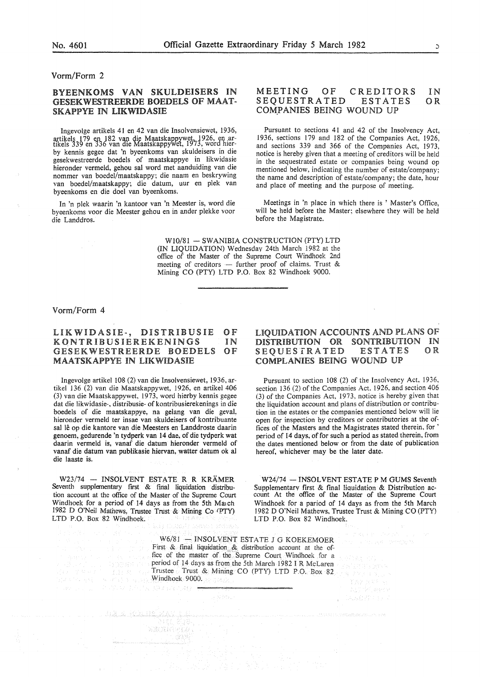#### Vorm/Form 2

# BYEENKOMS VAN SKULDEISERS IN GESEKWESTREERDE BOEDELS OF MAAT-SKAPPYE IN LIKWIDASIE

Ingevolge artikels 41 en 42 van die Insolvensiewet, 1936, a, rtikels 179 en 182 van die Maatskappywet 1926, en ar-<br>tikels 339 en 336 van die Maatskappywet, 1973, word hierby kennis gegee dat 'n byeenkoms van skuldeisers in die gesekwestreerde boedels of maatskappye in likwidasie hieronder vermeld, gehou sal word met aanduiding van die nommer van boedel/maatskappy; die naam en beskrywing van boedel/maatskappy; die datum, uur en plek van byeenkoms en die doe! van byeenkoms.

In 'n plek waarin 'n kantoor van 'n Meester is, word die byeenkoms voor die Meester gehou en in ander plekke voor die Landdros.

#### MEETING OF CREDITORS<br>SEQUESTRATED ESTATES SEQUESTRATED COMPANIES BEING WOUND UP IN OR

Pursuant to sections 41 and 42 of the Insolvency Act, 1936, sections 179 and 182 of the Companies Act, 1926, and sections 339 and 366 of the Companies Act, 1973, notice is hereby given that a meeting of creditors will be held in the sequestrated estate or companies being wound op mentioned below, indicating the number of estate/company; the name and description of estate/company; the date, hour and place of meeting and the purpose of meeting.

Meetings in 'n place in which there is ' Master's Office, will be held before the Master; elsewhere they will be held before the Magistrate.

W10/81 - SWANIBIA CONSTRUCTION (PTY) LTD (IN LIQUIDATION) Wednesday 24th March 1982 at the office of the Master of the Supreme Court Windhoek 2nd meeting of creditors  $-$  further proof of claims. Trust & Mining CO (PTY) LTD P.O. Box 82 Windhoek 9000.

#### Vorm/Form 4

#### LIKWIDASIE-, DISTRIBUSIE **KONTRIBUSIEREKENINGS** GESEKWESTREERDE BOEDELS MAATSKAPPYE IN UKWIDASIE OF IN OF

Ingevolge artikel 108 (2) van die Insolvensiewet, 1936, artikel 136 (2) van die Maatskappywet, 1926, en artikel 406 (3) van die Maatskappywet, 1973, word hierby kennis gegee dat die likwidasie-, distribusie- of kontribusierekenings in die boedels of die maatskappye, na gelang van die geval, hieronder vermeld ter insae van skuldeisers of kontribuante sal lê op die kantore van die Meesters en Landdroste daarin genoem, gedurende 'n tydperk van 14 dae, of die tydperk wat daarin vermeld is, vanaf die datum hieronder vermeld of vanaf die datum van publikasie hiervan, watter datum ok al die laaste is.

W23/74 - INSOLVENT ESTATE R R KRÄMER Seventh supplementary first & final liquidation distribution account at the office of the Master of the Supreme Court Windhoek for a period of 14 days as from the 5th March 1982 D O'Neil Mathews, Trustee Trust & Mining Co *tPTY)*  LTD P.O. Box 82 Windhoek.

第四次, W. 129, 138, 199, 178, 2040, 19

tra any wanideia.

<u>Jalia Kaliffinani i</u>

# LIQUIDATION ACCOUNTS AND PLANS OF DISTRIBUTION OR SONTRIBUTION IN<br>SEOUESTRATED ESTATES OR SEQUESTRATED COMPLANIES BEING WOUND UP

Pursuant to section 108 (2) of the Insolvency Act, 1936, section 136 (2) of the Companies Act. 1926, and section 406 (3) of the Companies Act, 1973, notice is hereby given that the liquidation account and plans of distribution or contribution in the estates or the companies mentioned below will lie open for inspection by creditors or contributories at the offices of the Masters and the Magistrates stated therein. for ' period of 14 days, of for such a period as stated therein, from the dates mentioned below or from the date of publication hereof, whichever may be the later date.

W24/74 - INSOLVENT ESTATE P M GUMS Seventh<br>Supplementary first & final liquidation & Distribution account At the office of the Master of the Supreme Court Windhoek for a pariod of 14 days as from the 5th March 1982 D O'Neil Mathews, Trustee Trust & Mining CO (PTY) LTD P.O. Box 82 Windhoek.

 $W6/81 - INSOLVENT$  ESTATE J G KOEKEMOER First & final liquidation & distribution account at the office of the master of the Supreme Court Windhoek for a period of 14 days as from the 5th March 1982 I R McLaren Trustee Trust & Mining CO (PTY) LTD P.O. Box 82 Windhoek 9000.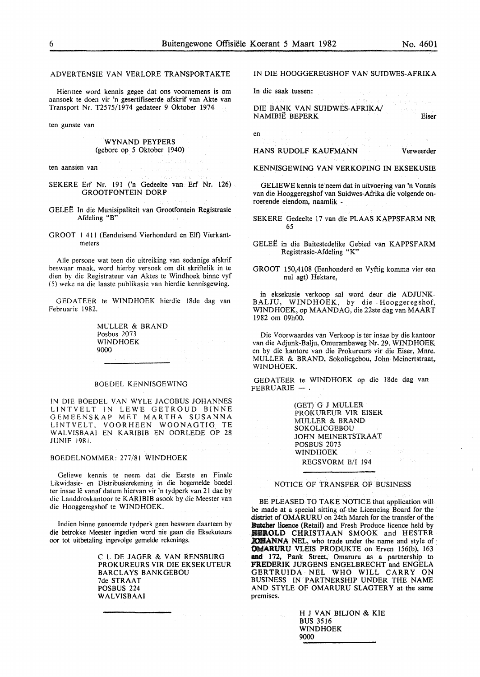ADVERTENSIE VAN VERLORE TRANSPORTAKTE

Hiermee word kennis gegee dat ons voornemens is om aansoek te doen vir 'n gesertifiseerde afskrif van Akte van Transport Nr. T2575/1974 gedateer 9 Oktober 1974

ten gunste van

#### WYNAND PEYPERS (gebore op *5* Oktober 1940)

ten aansien van

- SEKERE Erf Nr. 191 ('n Gedeelte van Erf Nr. 126) GROOTFONTEIN DORP
- GELEE In die Munisipaliteit van Grootfontein Registrasie Afdeling "B"
- GROOT I 411 (Eenduisend Vierhonderd en Elt) Vierkantmeters

Aile persone wat teen die uitreiking van sodanige afskrif beswaar maak. word hierby versoek om dit skriftelik in te dien by die Registrateur van Aktes te Windhoek binne vyf (5) weke na die laaste publikasie van hierdie kennisgewing.

GEDATEER te WINDHOEK hierdie !8de dag van Februarie 1982.

> MULLER & BRAND Posbus 2073 WINDHOEK 9000

#### BOEDEL KENNISGEWING

IN DIE BOEDEL VAN WYLE JACOBUS JOHANNES L!NTVELT IN LEWE GETROUD BINNE GEMEENSKAP MET MARTHA SUSANNA LINTVELT, VOORHEEN WOONAGTIG TE WALVISBAAI EN KARIBIB EN OORLEDE OP 28 JUNIE 1981.

#### BOEDELNOMMER: 277/81 WINDHOEK

Geliewe kennis te neem dat die Eerste en Finale Likwidasie- en Distribusierekening in die bogemelde boedel ter insae lê vanaf datum hiervan vir 'n tydperk van 21 dae by die Landdroskantoor te KARIBIB asook by die Meester van die Hooggeregshof te WINDHOEK.

Indien binne genoemde tydperk geen besware daarteen by die betrokke Meester ingedien word nie gaan die Eksekuteurs oor tot uitbetaling ingevolge gemelde rekenings.

> C L DE JAGER & VAN RENSBURG PROKUREURS VIR DIE EKSEKUTEUR BARCLAYS BANKGEBOU 7de STRAAT POSBUS 224 WALVISBAAI

#### IN DIE HOOGGEREGSHOF VAN SUIDWES-AFRIKA

In die saak tussen:

DIE BANK VAN SUIDWES-AFRIKA/ NAMIBIE BEPERK

en

HANS RUDOLF KAUFMANN

Verweerder

Eiser

KENNISGEWING VAN VERKOPING IN EKSEKUSIE

GELIEWE kennis te neem dat in uitvoering van 'n Vonnis van die Hooggeregshof van Suidwes-Afrika die volgende onroerende eiendom, naamlik -

- SEKERE Gedeelte 17 van die PLAAS KAPPSFARM NR 65
- GELEE in die Buitestedelike Gebied van KAPPSFARM Registrasie-Afdeling "K"
- GROOT 150,4108 (Eenhonderd en Vyftig komma vier een nul agt) Hektare,

in eksekusie verkoop sal word deur die ADJUNK-BALJU, WINDHOEK, by die Hooggeregshof, WINDHOEK, op MAANDAG, die22ste dag van MAART 1982 om 09h00.

Die Voorwaardes van Verkoop is ter insae by die kantoor van die Adjunk-Balju, Omurambaweg Nr. 29, WINDHOEK en by die kantore van die Prokureurs vir die Eiser, Mnre. MULLER & BRAND, Sokolicgebou, John Meinertstraat, WINDHOEK.

GEDATEER te WINDHOEK op die l8de dag van FEBRUARIE-

> (GET) G J MULLER PROKUREUR VIR ElSER MULLER & BRAND SOKOLICGEBOU JOHN MEINERTSTRAAT POSBUS 2073 WINDHOEK REGSVORM B/I 194

NOTICE OF TRANSFER OF BUSINESS

BE PLEASED TO TAKE NOTICE that application will be made at a special sitting of the Licencing Board for the district of OMARURU on 24th March for the transfer of the Butcher licence (Retail) and Fresh Produce licence held by **IBROLD CHRISTIAAN SMOOK and HESTER XOMANNA NEL**, who trade under the name and style of OWARURU VLEIS PRODUKTE on Erven 156(b), 163 and 172, Pank Street, Omaruru as a partnership to **PREDERIK** JURGENS ENGELBRECHT and ENGELA GERTRUIDA NEL WHO WILL CARRY ON BUSINESS IN PARTNERSHIP UNDER THE NAME AND STYLE OF OMARURU SLAGTERY at the same premises.

> H J VAN BILJON & KIE BUS 3516 WINDHOEK 9000